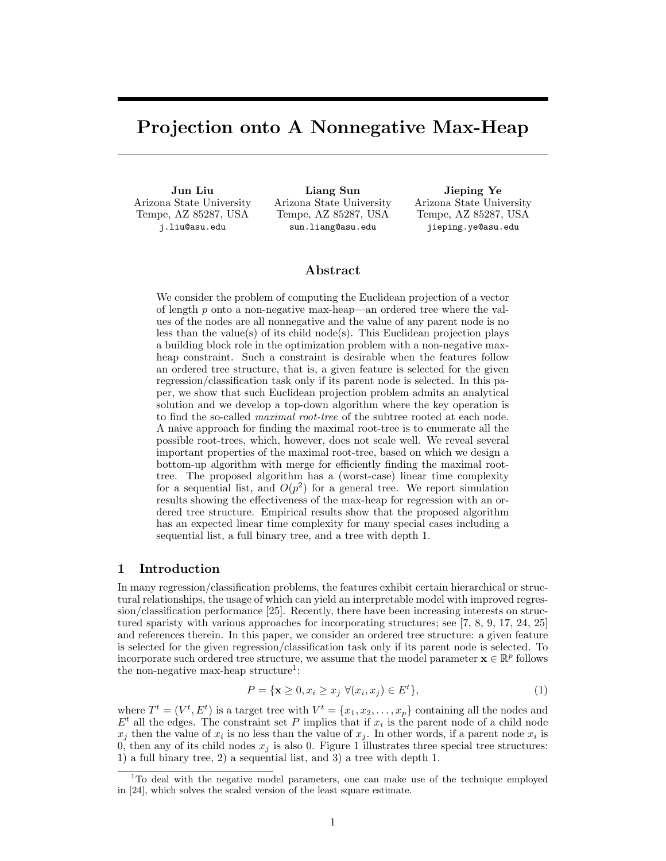# Projection onto A Nonnegative Max-Heap

Jun Liu Arizona State University Tempe, AZ 85287, USA j.liu@asu.edu

Liang Sun Arizona State University Tempe, AZ 85287, USA sun.liang@asu.edu

Jieping Ye Arizona State University Tempe, AZ 85287, USA jieping.ye@asu.edu

## Abstract

We consider the problem of computing the Euclidean projection of a vector of length  $p$  onto a non-negative max-heap—an ordered tree where the values of the nodes are all nonnegative and the value of any parent node is no less than the value(s) of its child node(s). This Euclidean projection plays a building block role in the optimization problem with a non-negative maxheap constraint. Such a constraint is desirable when the features follow an ordered tree structure, that is, a given feature is selected for the given regression/classification task only if its parent node is selected. In this paper, we show that such Euclidean projection problem admits an analytical solution and we develop a top-down algorithm where the key operation is to find the so-called *maximal root-tree* of the subtree rooted at each node. A naive approach for finding the maximal root-tree is to enumerate all the possible root-trees, which, however, does not scale well. We reveal several important properties of the maximal root-tree, based on which we design a bottom-up algorithm with merge for efficiently finding the maximal roottree. The proposed algorithm has a (worst-case) linear time complexity for a sequential list, and  $O(p^2)$  for a general tree. We report simulation results showing the effectiveness of the max-heap for regression with an ordered tree structure. Empirical results show that the proposed algorithm has an expected linear time complexity for many special cases including a sequential list, a full binary tree, and a tree with depth 1.

## 1 Introduction

In many regression/classification problems, the features exhibit certain hierarchical or structural relationships, the usage of which can yield an interpretable model with improved regression/classification performance [25]. Recently, there have been increasing interests on structured sparisty with various approaches for incorporating structures; see [7, 8, 9, 17, 24, 25] and references therein. In this paper, we consider an ordered tree structure: a given feature is selected for the given regression/classification task only if its parent node is selected. To incorporate such ordered tree structure, we assume that the model parameter  $\mathbf{x} \in \mathbb{R}^p$  follows the non-negative max-heap structure<sup>1</sup>:

$$
P = \{ \mathbf{x} \ge 0, x_i \ge x_j \ \forall (x_i, x_j) \in E^t \},\tag{1}
$$

where  $T^t = (V^t, E^t)$  is a target tree with  $V^t = \{x_1, x_2, \ldots, x_p\}$  containing all the nodes and  $E<sup>t</sup>$  all the edges. The constraint set P implies that if  $x<sub>i</sub>$  is the parent node of a child node  $x_j$  then the value of  $x_i$  is no less than the value of  $x_j$ . In other words, if a parent node  $x_i$  is 0, then any of its child nodes  $x_j$  is also 0. Figure 1 illustrates three special tree structures: 1) a full binary tree, 2) a sequential list, and 3) a tree with depth 1.

<sup>&</sup>lt;sup>1</sup>To deal with the negative model parameters, one can make use of the technique employed in [24], which solves the scaled version of the least square estimate.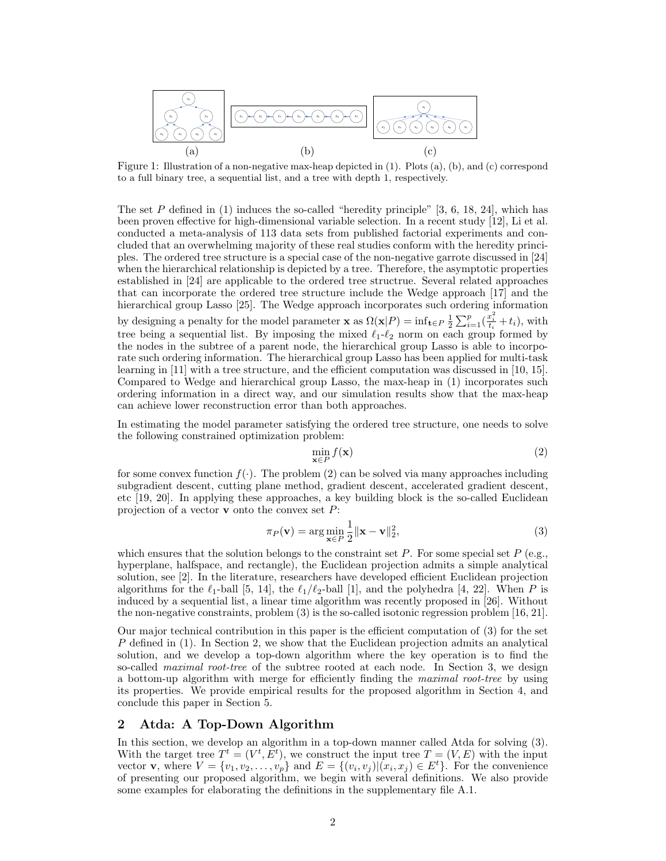

Figure 1: Illustration of a non-negative max-heap depicted in (1). Plots (a), (b), and (c) correspond to a full binary tree, a sequential list, and a tree with depth 1, respectively.

The set P defined in  $(1)$  induces the so-called "heredity principle" [3, 6, 18, 24], which has been proven effective for high-dimensional variable selection. In a recent study [12], Li et al. conducted a meta-analysis of 113 data sets from published factorial experiments and concluded that an overwhelming majority of these real studies conform with the heredity principles. The ordered tree structure is a special case of the non-negative garrote discussed in [24] when the hierarchical relationship is depicted by a tree. Therefore, the asymptotic properties established in [24] are applicable to the ordered tree structrue. Several related approaches that can incorporate the ordered tree structure include the Wedge approach [17] and the hierarchical group Lasso [25]. The Wedge approach incorporates such ordering information by designing a penalty for the model parameter **x** as  $\Omega(\mathbf{x}|P) = \inf_{\mathbf{t} \in P} \frac{1}{2} \sum_{i=1}^{p} (\frac{x_i^2}{t_i} + t_i)$ , with tree being a sequential list. By imposing the mixed  $\ell_1-\ell_2$  norm on each group formed by the nodes in the subtree of a parent node, the hierarchical group Lasso is able to incorporate such ordering information. The hierarchical group Lasso has been applied for multi-task learning in [11] with a tree structure, and the efficient computation was discussed in [10, 15]. Compared to Wedge and hierarchical group Lasso, the max-heap in (1) incorporates such ordering information in a direct way, and our simulation results show that the max-heap can achieve lower reconstruction error than both approaches.

In estimating the model parameter satisfying the ordered tree structure, one needs to solve the following constrained optimization problem:

$$
\min_{\mathbf{x} \in P} f(\mathbf{x}) \tag{2}
$$

for some convex function  $f(\cdot)$ . The problem (2) can be solved via many approaches including subgradient descent, cutting plane method, gradient descent, accelerated gradient descent, etc [19, 20]. In applying these approaches, a key building block is the so-called Euclidean projection of a vector **v** onto the convex set  $P$ :

$$
\pi_P(\mathbf{v}) = \arg\min_{\mathbf{x} \in P} \frac{1}{2} \|\mathbf{x} - \mathbf{v}\|_2^2,
$$
\n(3)

which ensures that the solution belongs to the constraint set P. For some special set  $P$  (e.g., hyperplane, halfspace, and rectangle), the Euclidean projection admits a simple analytical solution, see [2]. In the literature, researchers have developed efficient Euclidean projection algorithms for the  $\ell_1$ -ball [5, 14], the  $\ell_1/\ell_2$ -ball [1], and the polyhedra [4, 22]. When P is induced by a sequential list, a linear time algorithm was recently proposed in [26]. Without the non-negative constraints, problem (3) is the so-called isotonic regression problem [16, 21].

Our major technical contribution in this paper is the efficient computation of (3) for the set P defined in (1). In Section 2, we show that the Euclidean projection admits an analytical solution, and we develop a top-down algorithm where the key operation is to find the so-called *maximal root-tree* of the subtree rooted at each node. In Section 3, we design a bottom-up algorithm with merge for efficiently finding the *maximal root-tree* by using its properties. We provide empirical results for the proposed algorithm in Section 4, and conclude this paper in Section 5.

## 2 Atda: A Top-Down Algorithm

In this section, we develop an algorithm in a top-down manner called Atda for solving (3). With the target tree  $T^t = (V^t, E^t)$ , we construct the input tree  $T = (V, E)$  with the input vector **v**, where  $V = \{v_1, v_2, \ldots, v_p\}$  and  $E = \{(v_i, v_j) | (x_i, x_j) \in E^t\}$ . For the convenience of presenting our proposed algorithm, we begin with several definitions. We also provide some examples for elaborating the definitions in the supplementary file A.1.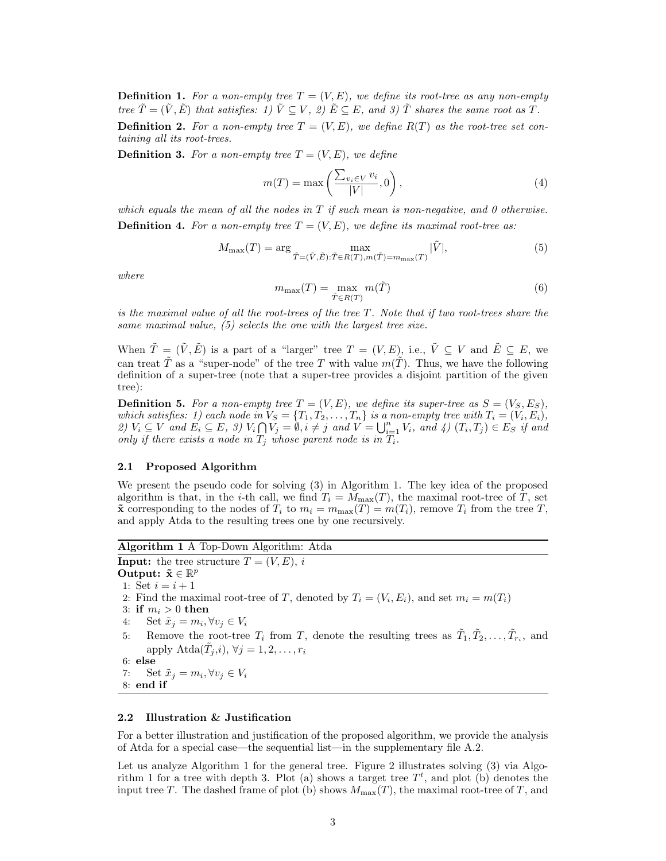**Definition 1.** For a non-empty tree  $T = (V, E)$ , we define its root-tree as any non-empty *tree*  $\tilde{T} = (\tilde{V}, \tilde{E})$  *that satisfies:* 1)  $\tilde{V} \subseteq V$ , 2)  $\tilde{E} \subseteq E$ , and 3)  $\tilde{T}$  *shares the same root as* T.

**Definition 2.** For a non-empty tree  $T = (V, E)$ , we define  $R(T)$  as the root-tree set con*taining all its root-trees.*

**Definition 3.** For a non-empty tree  $T = (V, E)$ , we define

$$
m(T) = \max\left(\frac{\sum_{v_i \in V} v_i}{|V|}, 0\right),\tag{4}
$$

*which equals the mean of all the nodes in* T *if such mean is non-negative, and 0 otherwise.* **Definition 4.** For a non-empty tree  $T = (V, E)$ , we define its maximal root-tree as:

$$
M_{\max}(T) = \arg\max_{\tilde{T}=(\tilde{V},\tilde{E}): \tilde{T}\in R(T), m(\tilde{T}) = m_{\max}(T)} |\tilde{V}|,
$$
\n(5)

*where*

$$
m_{\max}(T) = \max_{\tilde{T} \in R(T)} m(\tilde{T})
$$
\n(6)

*is the maximal value of all the root-trees of the tree* T*. Note that if two root-trees share the same maximal value, (5) selects the one with the largest tree size.*

When  $\tilde{T} = (\tilde{V}, \tilde{E})$  is a part of a "larger" tree  $T = (V, E)$ , i.e.,  $\tilde{V} \subseteq V$  and  $\tilde{E} \subseteq E$ , we can treat  $\tilde{T}$  as a "super-node" of the tree T with value  $m(\tilde{T})$ . Thus, we have the following definition of a super-tree (note that a super-tree provides a disjoint partition of the given tree):

**Definition 5.** For a non-empty tree  $T = (V, E)$ , we define its super-tree as  $S = (V_S, E_S)$ , *which satisfies:* 1) each node in  $V_S = \{T_1, T_2, \ldots, T_n\}$  is a non-empty tree with  $T_i = (V_i, E_i)$ , 2)  $V_i \subseteq V$  and  $E_i \subseteq E$ , 3)  $V_i \cap V_j = \emptyset$ ,  $i \neq j$  and  $V = \bigcup_{i=1}^n V_i$ , and 4)  $(T_i, T_j) \in E_S$  if and *only if there exists a node in*  $T_i$  *whose parent node is in*  $T_i$ *.* 

### 2.1 Proposed Algorithm

We present the pseudo code for solving (3) in Algorithm 1. The key idea of the proposed algorithm is that, in the *i*-th call, we find  $T_i = M_{\text{max}}(T)$ , the maximal root-tree of T, set  $\tilde{\mathbf{x}}$  corresponding to the nodes of  $T_i$  to  $m_i = m_{\text{max}}(T) = m(T_i)$ , remove  $T_i$  from the tree T, and apply Atda to the resulting trees one by one recursively.

Algorithm 1 A Top-Down Algorithm: Atda

**Input:** the tree structure  $T = (V, E), i$ 

Output:  $\tilde{\mathbf{x}} \in \mathbb{R}^p$ 

1: Set  $i = i + 1$ 

2: Find the maximal root-tree of T, denoted by  $T_i = (V_i, E_i)$ , and set  $m_i = m(T_i)$ 

```
3: if m_i > 0 then
```
- 4: Set  $\tilde{x}_j = m_i, \forall v_j \in V_i$
- 5: Remove the root-tree  $T_i$  from T, denote the resulting trees as  $\tilde{T}_1, \tilde{T}_2, \ldots, \tilde{T}_{r_i}$ , and apply  $\text{Atda}(\tilde{T}_j,i), \forall j = 1, 2, \ldots, r_i$

$$
6: else
$$

7: Set  $\tilde{x}_j = m_i, \forall v_j \in V_i$ 

8: end if

## 2.2 Illustration & Justification

For a better illustration and justification of the proposed algorithm, we provide the analysis of Atda for a special case—the sequential list—in the supplementary file A.2.

Let us analyze Algorithm 1 for the general tree. Figure 2 illustrates solving (3) via Algorithm 1 for a tree with depth 3. Plot (a) shows a target tree  $T<sup>t</sup>$ , and plot (b) denotes the input tree T. The dashed frame of plot (b) shows  $M_{\text{max}}(T)$ , the maximal root-tree of T, and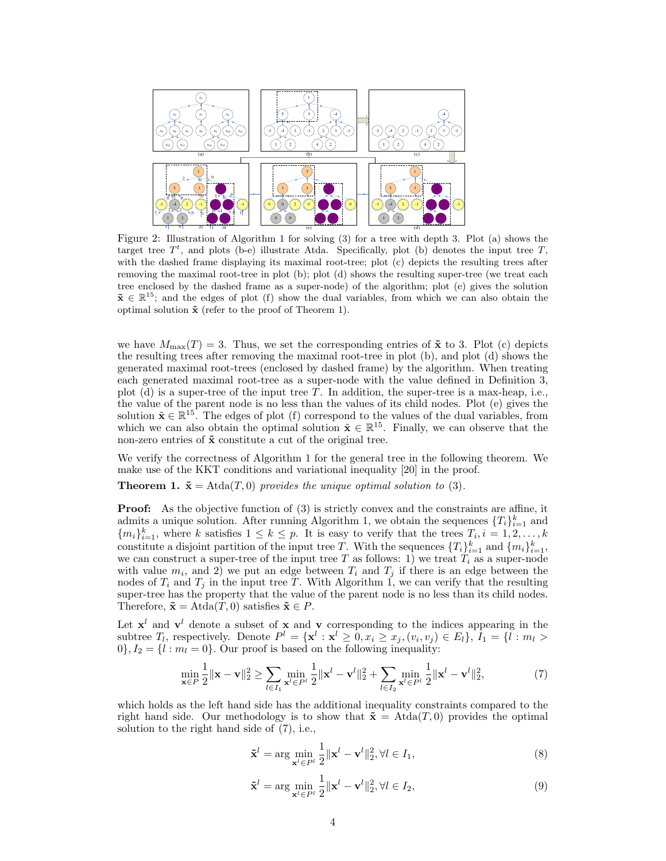

Figure 2: Illustration of Algorithm 1 for solving (3) for a tree with depth 3. Plot (a) shows the target tree  $T<sup>t</sup>$ , and plots (b-e) illustrate Atda. Specifically, plot (b) denotes the input tree T, with the dashed frame displaying its maximal root-tree; plot (c) depicts the resulting trees after removing the maximal root-tree in plot (b); plot (d) shows the resulting super-tree (we treat each tree enclosed by the dashed frame as a super-node) of the algorithm; plot (e) gives the solution  $\tilde{\mathbf{x}} \in \mathbb{R}^{15}$ ; and the edges of plot (f) show the dual variables, from which we can also obtain the optimal solution  $\tilde{\mathbf{x}}$  (refer to the proof of Theorem 1).

we have  $M_{\text{max}}(T) = 3$ . Thus, we set the corresponding entries of  $\tilde{\mathbf{x}}$  to 3. Plot (c) depicts the resulting trees after removing the maximal root-tree in plot (b), and plot (d) shows the generated maximal root-trees (enclosed by dashed frame) by the algorithm. When treating each generated maximal root-tree as a super-node with the value defined in Definition 3, plot (d) is a super-tree of the input tree T. In addition, the super-tree is a max-heap, i.e., the value of the parent node is no less than the values of its child nodes. Plot (e) gives the solution  $\tilde{\mathbf{x}} \in \mathbb{R}^{15}$ . The edges of plot (f) correspond to the values of the dual variables, from which we can also obtain the optimal solution  $\tilde{\mathbf{x}} \in \mathbb{R}^{15}$ . Finally, we can observe that the non-zero entries of  $\tilde{x}$  constitute a cut of the original tree.

We verify the correctness of Algorithm 1 for the general tree in the following theorem. We make use of the KKT conditions and variational inequality [20] in the proof.

**Theorem 1.**  $\tilde{\mathbf{x}} = \text{Atda}(T, 0)$  *provides the unique optimal solution to* (3).

**Proof:** As the objective function of (3) is strictly convex and the constraints are affine, it admits a unique solution. After running Algorithm 1, we obtain the sequences  $\{T_i\}_{i=1}^k$  and  ${m_i}_{i=1}^k$ , where k satisfies  $1 \leq k \leq p$ . It is easy to verify that the trees  $T_i, i = 1, 2, ..., k$ constitute a disjoint partition of the input tree T. With the sequences  $\{T_i\}_{i=1}^k$  and  $\{m_i\}_{i=1}^k$ , we can construct a super-tree of the input tree T as follows: 1) we treat  $T_i$  as a super-node with value  $m_i$ , and 2) we put an edge between  $T_i$  and  $T_j$  if there is an edge between the nodes of  $T_i$  and  $T_j$  in the input tree T. With Algorithm 1, we can verify that the resulting super-tree has the property that the value of the parent node is no less than its child nodes. Therefore,  $\tilde{\mathbf{x}} = \text{Atda}(T, 0)$  satisfies  $\tilde{\mathbf{x}} \in P$ .

Let  $x^l$  and  $v^l$  denote a subset of x and v corresponding to the indices appearing in the subtree  $T_l$ , respectively. Denote  $P^l = {\mathbf{x}^l : \mathbf{x}^l \geq 0, x_i \geq x_j, (v_i, v_j) \in E_l}, \overline{I}_1 = {\mathbf{I} \cdot m_l > 0}$  $0$ ,  $I_2 = \{l : m_l = 0\}$ . Our proof is based on the following inequality:

$$
\min_{\mathbf{x}\in P} \frac{1}{2} \|\mathbf{x} - \mathbf{v}\|_2^2 \ge \sum_{l \in I_1} \min_{\mathbf{x}^l \in P^l} \frac{1}{2} \|\mathbf{x}^l - \mathbf{v}^l\|_2^2 + \sum_{l \in I_2} \min_{\mathbf{x}^l \in P^l} \frac{1}{2} \|\mathbf{x}^l - \mathbf{v}^l\|_2^2,\tag{7}
$$

which holds as the left hand side has the additional inequality constraints compared to the right hand side. Our methodology is to show that  $\tilde{\mathbf{x}} = \text{Atda}(T, 0)$  provides the optimal solution to the right hand side of (7), i.e.,

$$
\tilde{\mathbf{x}}^l = \arg\min_{\mathbf{x}^l \in P^l} \frac{1}{2} ||\mathbf{x}^l - \mathbf{v}^l||_2^2, \forall l \in I_1,
$$
\n(8)

$$
\tilde{\mathbf{x}}^l = \arg\min_{\mathbf{x}^l \in P^l} \frac{1}{2} ||\mathbf{x}^l - \mathbf{v}^l||_2^2, \forall l \in I_2,
$$
\n(9)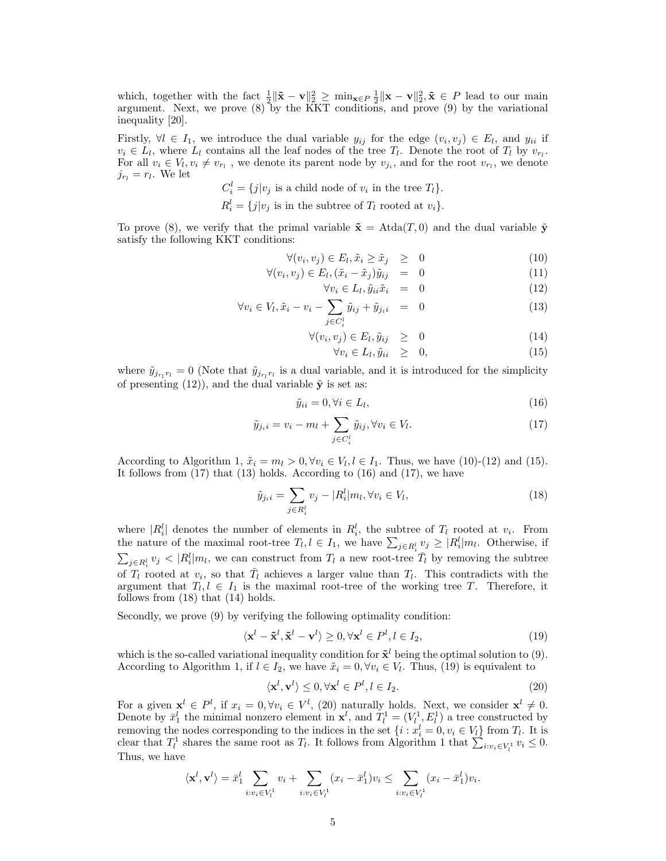which, together with the fact  $\frac{1}{2} \|\tilde{\mathbf{x}} - \mathbf{v}\|_2^2 \ge \min_{\mathbf{x} \in P} \frac{1}{2} \|\mathbf{x} - \mathbf{v}\|_2^2$ ,  $\tilde{\mathbf{x}} \in P$  lead to our main argument. Next, we prove  $(8)$  by the KKT conditions, and prove  $(9)$  by the variational inequality [20].

Firstly,  $\forall l \in I_1$ , we introduce the dual variable  $y_{ij}$  for the edge  $(v_i, v_j) \in E_l$ , and  $y_{ii}$  if  $v_i \in L_l$ , where  $L_l$  contains all the leaf nodes of the tree  $T_l$ . Denote the root of  $T_l$  by  $v_{r_l}$ . For all  $v_i \in V_l, v_i \neq v_{r_l}$ , we denote its parent node by  $v_{j_i}$ , and for the root  $v_{r_l}$ , we denote  $j_{r_l} = r_l$ . We let

$$
C_i^l = \{j|v_j \text{ is a child node of } v_i \text{ in the tree } T_l\}.
$$
  

$$
R_i^l = \{j|v_j \text{ is in the subtree of } T_l \text{ rooted at } v_i\}.
$$

To prove (8), we verify that the primal variable  $\tilde{\mathbf{x}} = \text{Atda}(T, 0)$  and the dual variable  $\tilde{\mathbf{y}}$ satisfy the following KKT conditions:

$$
\forall (v_i, v_j) \in E_l, \tilde{x}_i \ge \tilde{x}_j \ge 0 \tag{10}
$$

$$
\forall (v_i, v_j) \in E_l, (\tilde{x}_i - \tilde{x}_j)\tilde{y}_{ij} = 0 \tag{11}
$$

$$
\forall v_i \in L_l, \tilde{y}_{ii}\tilde{x}_i = 0 \tag{12}
$$

$$
\forall v_i \in V_l, \tilde{x}_i - v_i - \sum_{j \in C_i^l} \tilde{y}_{ij} + \tilde{y}_{j_i i} = 0 \tag{13}
$$

$$
\forall (v_i, v_j) \in E_l, \tilde{y}_{ij} \geq 0 \tag{14}
$$

$$
\forall v_i \in L_l, \tilde{y}_{ii} \geq 0,
$$
\n
$$
(15)
$$

where  $\tilde{y}_{j_{r_l}r_l} = 0$  (Note that  $\tilde{y}_{j_{r_l}r_l}$  is a dual variable, and it is introduced for the simplicity of presenting (12)), and the dual variable  $\tilde{\mathbf{v}}$  is set as:

$$
\tilde{y}_{ii} = 0, \forall i \in L_l,\tag{16}
$$

$$
\tilde{y}_{j_i i} = v_i - m_l + \sum_{j \in C_i^l} \tilde{y}_{ij}, \forall v_i \in V_l.
$$
\n
$$
(17)
$$

According to Algorithm 1,  $\tilde{x}_i = m_l > 0$ ,  $\forall v_i \in V_l, l \in I_1$ . Thus, we have (10)-(12) and (15). It follows from  $(17)$  that  $(13)$  holds. According to  $(16)$  and  $(17)$ , we have

$$
\tilde{y}_{j_i i} = \sum_{j \in R_i^l} v_j - |R_i^l| m_l, \forall v_i \in V_l,
$$
\n(18)

where  $|R_i^l|$  denotes the number of elements in  $R_i^l$ , the subtree of  $T_l$  rooted at  $v_i$ . From the nature of the maximal root-tree  $T_l, l \in I_1$ , we have  $\sum_{j \in R_i^l} v_j \geq |R_i^l| m_l$ . Otherwise, if  $\sum_{j\in R_i^l} v_j < |R_i^l|m_l$ , we can construct from  $T_l$  a new root-tree  $\overline{T}_l$  by removing the subtree of  $T_l$  rooted at  $v_i$ , so that  $\overline{T}_l$  achieves a larger value than  $T_l$ . This contradicts with the argument that  $T_l, l \in I_1$  is the maximal root-tree of the working tree T. Therefore, it follows from (18) that (14) holds.

Secondly, we prove (9) by verifying the following optimality condition:

$$
\langle \mathbf{x}^l - \tilde{\mathbf{x}}^l, \tilde{\mathbf{x}}^l - \mathbf{v}^l \rangle \ge 0, \forall \mathbf{x}^l \in P^l, l \in I_2,
$$
\n(19)

which is the so-called variational inequality condition for  $\tilde{\mathbf{x}}^l$  being the optimal solution to (9). According to Algorithm 1, if  $l \in I_2$ , we have  $\tilde{x}_i = 0, \forall v_i \in V_l$ . Thus, (19) is equivalent to

$$
\langle \mathbf{x}^l, \mathbf{v}^l \rangle \le 0, \forall \mathbf{x}^l \in P^l, l \in I_2. \tag{20}
$$

For a given  $\mathbf{x}^l \in P^l$ , if  $x_i = 0, \forall v_i \in V^l$ , (20) naturally holds. Next, we consider  $\mathbf{x}^l \neq 0$ . Denote by  $\bar{x}_1^l$  the minimal nonzero element in  $\mathbf{x}^l$ , and  $T_l^1 = (V_l^1, E_l^1)$  a tree constructed by removing the nodes corresponding to the indices in the set  $\{i : x_i^l = 0, v_i \in V_l\}$  from  $T_l$ . It is clear that  $T_l^1$  shares the same root as  $T_l$ . It follows from Algorithm 1 that  $\sum_{i:v_i \in V_l^1} v_i \leq 0$ . Thus, we have

$$
\langle \mathbf{x}^l, \mathbf{v}^l \rangle = \bar{x}_1^l \sum_{i:v_i \in V_l^1} v_i + \sum_{i:v_i \in V_l^1} (x_i - \bar{x}_1^l) v_i \leq \sum_{i:v_i \in V_l^1} (x_i - \bar{x}_1^l) v_i.
$$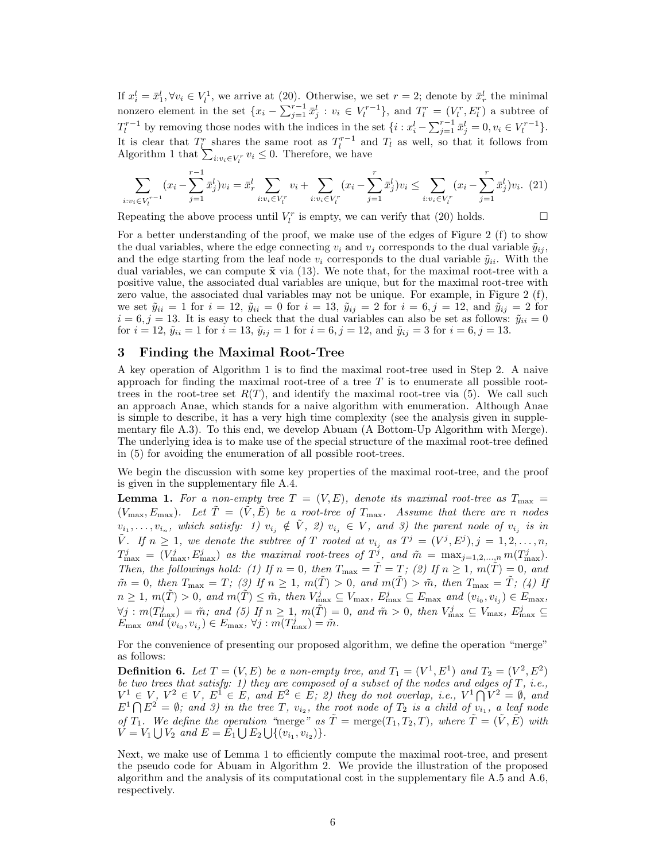If  $x_i^l = \bar{x}_1^l, \forall v_i \in V_l^1$ , we arrive at (20). Otherwise, we set  $r = 2$ ; denote by  $\bar{x}_r^l$  the minimal nonzero element in the set  $\{x_i - \sum_{j=1}^{r-1} \bar{x}_j^l : v_i \in V_l^{r-1}\}$ , and  $T_l^r = (V_l^r, E_l^r)$  a subtree of  $T_l^{r-1}$  by removing those nodes with the indices in the set  $\{i : x_i^l - \sum_{j=1}^{r-1} \bar{x}_j^l = 0, v_i \in V_l^{r-1}\}.$ It is clear that  $T_l^r$  shares the same root as  $T_l^{r-1}$  and  $T_l$  as well, so that it follows from Algorithm 1 that  $\sum_{i:v_i \in V_l^r} v_i \leq 0$ . Therefore, we have

$$
\sum_{i:v_i \in V_l^{r-1}} (x_i - \sum_{j=1}^{r-1} \bar{x}_j^l) v_i = \bar{x}_r^l \sum_{i:v_i \in V_l^r} v_i + \sum_{i:v_i \in V_l^r} (x_i - \sum_{j=1}^r \bar{x}_j^l) v_i \le \sum_{i:v_i \in V_l^r} (x_i - \sum_{j=1}^r \bar{x}_j^l) v_i.
$$
 (21)

Repeating the above process until  $V_l^r$  is empty, we can verify that (20) holds.  $\Box$ 

For a better understanding of the proof, we make use of the edges of Figure 2 (f) to show the dual variables, where the edge connecting  $v_i$  and  $v_j$  corresponds to the dual variable  $\tilde{y}_{ij}$ , and the edge starting from the leaf node  $v_i$  corresponds to the dual variable  $\tilde{y}_{ii}$ . With the dual variables, we can compute  $\tilde{\mathbf{x}}$  via (13). We note that, for the maximal root-tree with a positive value, the associated dual variables are unique, but for the maximal root-tree with zero value, the associated dual variables may not be unique. For example, in Figure 2 (f), we set  $\tilde{y}_{ii} = 1$  for  $i = 12$ ,  $\tilde{y}_{ii} = 0$  for  $i = 13$ ,  $\tilde{y}_{ij} = 2$  for  $i = 6, j = 12$ , and  $\tilde{y}_{ij} = 2$  for  $i = 6, j = 13$ . It is easy to check that the dual variables can also be set as follows:  $\tilde{y}_{ii} = 0$ for  $i = 12$ ,  $\tilde{y}_{ii} = 1$  for  $i = 13$ ,  $\tilde{y}_{ij} = 1$  for  $i = 6$ ,  $j = 12$ , and  $\tilde{y}_{ij} = 3$  for  $i = 6$ ,  $j = 13$ .

# 3 Finding the Maximal Root-Tree

A key operation of Algorithm 1 is to find the maximal root-tree used in Step 2. A naive approach for finding the maximal root-tree of a tree  $T$  is to enumerate all possible roottrees in the root-tree set  $R(T)$ , and identify the maximal root-tree via (5). We call such an approach Anae, which stands for a naive algorithm with enumeration. Although Anae is simple to describe, it has a very high time complexity (see the analysis given in supplementary file A.3). To this end, we develop Abuam (A Bottom-Up Algorithm with Merge). The underlying idea is to make use of the special structure of the maximal root-tree defined in (5) for avoiding the enumeration of all possible root-trees.

We begin the discussion with some key properties of the maximal root-tree, and the proof is given in the supplementary file A.4.

**Lemma 1.** For a non-empty tree  $T = (V, E)$ , denote its maximal root-tree as  $T_{\text{max}} =$  $(V_{\text{max}}, E_{\text{max}})$ *.* Let  $\tilde{T} = (\tilde{V}, \tilde{E})$  be a root-tree of  $T_{\text{max}}$ *. Assume that there are n nodes*  $v_{i_1}, \ldots, v_{i_n}$ , which satisfy: 1)  $v_{i_j} \notin V$ , 2)  $v_{i_j} \in V$ , and 3) the parent node of  $v_{i_j}$  is in  $\tilde{V}$ *.* If  $n \geq 1$ , we denote the subtree of T rooted at  $v_{i_j}$  as  $T^j = (V^j, E^j), j = 1, 2, \ldots, n$ ,  $T_{\max}^j = (V_{\max}^j, E_{\max}^j)$  *as the maximal root-trees of*  $T^j$ *, and*  $\tilde{m} = \max_{j=1,2,...,n} m(T_{\max}^j)$ *. Then, the followings hold: (1) If*  $n = 0$ *, then*  $T_{\text{max}} = \tilde{T} = T$ *; (2) If*  $n \ge 1$ *,*  $m(\tilde{T}) = 0$ *, and*  $\tilde{m} = 0$ , then  $T_{\text{max}} = T$ ; (3) If  $n \geq 1$ ,  $m(\tilde{T}) > 0$ , and  $m(\tilde{T}) > \tilde{m}$ , then  $T_{\text{max}} = \tilde{T}$ ; (4) If  $n \geq 1$ ,  $m(\tilde{T}) > 0$ , and  $m(\tilde{T}) \leq \tilde{m}$ , then  $V_{\text{max}}^j \subseteq V_{\text{max}}$ ,  $E_{\text{max}}^j \subseteq E_{\text{max}}$  and  $(v_{i_0}, v_{i_j}) \in E_{\text{max}}$ ,  $\forall j : m(T_{\max}^j) = \tilde{m}$ ; and (5) If  $n \geq 1$ ,  $m(\tilde{T}) = 0$ , and  $\tilde{m} > 0$ , then  $V_{\max}^j \subseteq V_{\max}$ ,  $E_{\max}^j \subseteq V_{\max}$  $E_{\text{max}}$  and  $(v_{i_0}, v_{i_j}) \in E_{\text{max}}$ ,  $\forall j : m(T_{\text{max}}^j) = \tilde{m}$ .

For the convenience of presenting our proposed algorithm, we define the operation "merge" as follows:

**Definition 6.** Let  $T = (V, E)$  be a non-empty tree, and  $T_1 = (V^1, E^1)$  and  $T_2 = (V^2, E^2)$ *be two trees that satisfy: 1) they are composed of a subset of the nodes and edges of* T*, i.e.,*  $V^1 \in V$ ,  $V^2 \in V$ ,  $E^1 \in E$ , and  $E^2 \in E$ ; 2) they do not overlap, i.e.,  $V^1 \cap V^2 = \emptyset$ , and  $E^1 \cap E^2 = \emptyset$ ; and 3) in the tree T,  $v_{i_2}$ , the root node of  $T_2$  is a child of  $v_{i_1}$ , a leaf node *of*  $T_1$ *. We define the operation "merge" as*  $\tilde{T} = \text{merge}(T_1, T_2, T)$ *, where*  $\tilde{T} = (\tilde{V}, \tilde{E})$  *with*  $V = V_1 \bigcup V_2$  and  $E = E_1 \bigcup E_2 \bigcup \{(v_{i_1}, v_{i_2})\}.$ 

Next, we make use of Lemma 1 to efficiently compute the maximal root-tree, and present the pseudo code for Abuam in Algorithm 2. We provide the illustration of the proposed algorithm and the analysis of its computational cost in the supplementary file A.5 and A.6, respectively.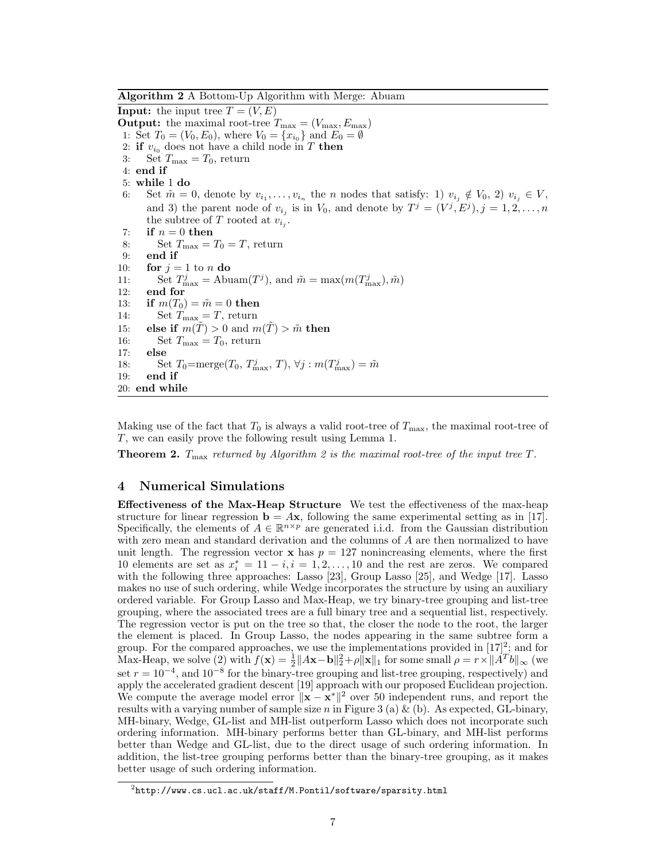Algorithm 2 A Bottom-Up Algorithm with Merge: Abuam

**Input:** the input tree  $T = (V, E)$ **Output:** the maximal root-tree  $T_{\text{max}} = (V_{\text{max}}, E_{\text{max}})$ 1: Set  $T_0 = (V_0, E_0)$ , where  $V_0 = \{x_{i_0}\}\$ and  $E_0 = \emptyset$ 2: if  $v_{i_0}$  does not have a child node in T then 3: Set  $T_{\text{max}} = T_0$ , return 4: end if 5: while 1 do 6: Set  $\tilde{m} = 0$ , denote by  $v_{i_1}, \ldots, v_{i_n}$  the *n* nodes that satisfy: 1)  $v_{i_j} \notin V_0$ , 2)  $v_{i_j} \in V$ , and 3) the parent node of  $v_{i_j}$  is in  $V_0$ , and denote by  $T^j = (V^j, E^j), j = 1, 2, \ldots, n$ the subtree of T rooted at  $v_{i_j}$ . 7: if  $n = 0$  then 8: Set  $T_{\text{max}} = T_0 = T$ , return 9: end if 10: **for**  $j = 1$  to n **do** 11: Set  $T_{\text{max}}^j = \text{Abuam}(T^j)$ , and  $\tilde{m} = \max(m(T_{\text{max}}^j), \tilde{m})$ 12: end for 13: if  $m(T_0) = \tilde{m} = 0$  then 14: Set  $T_{\text{max}} = T$ , return 15: else if  $m(\tilde{T}) > 0$  and  $m(\tilde{T}) > \tilde{m}$  then 16: Set  $T_{\text{max}} = T_0$ , return 17: else 18: Set  $T_0 = \text{merge}(T_0, T_{\text{max}}^j, T), \forall j : m(T_{\text{max}}^j) = \tilde{m}$ 19: end if 20: end while

Making use of the fact that  $T_0$  is always a valid root-tree of  $T_{\text{max}}$ , the maximal root-tree of T, we can easily prove the following result using Lemma 1.

Theorem 2. Tmax *returned by Algorithm 2 is the maximal root-tree of the input tree* T*.*

## 4 Numerical Simulations

Effectiveness of the Max-Heap Structure We test the effectiveness of the max-heap structure for linear regression  $\mathbf{b} = A\mathbf{x}$ , following the same experimental setting as in [17]. Specifically, the elements of  $A \in \mathbb{R}^{n \times p}$  are generated i.i.d. from the Gaussian distribution with zero mean and standard derivation and the columns of A are then normalized to have unit length. The regression vector  $x$  has  $p = 127$  nonincreasing elements, where the first 10 elements are set as  $x_i^* = 11 - i, i = 1, 2, \ldots, 10$  and the rest are zeros. We compared with the following three approaches: Lasso [23], Group Lasso [25], and Wedge [17]. Lasso makes no use of such ordering, while Wedge incorporates the structure by using an auxiliary ordered variable. For Group Lasso and Max-Heap, we try binary-tree grouping and list-tree grouping, where the associated trees are a full binary tree and a sequential list, respectively. The regression vector is put on the tree so that, the closer the node to the root, the larger the element is placed. In Group Lasso, the nodes appearing in the same subtree form a group. For the compared approaches, we use the implementations provided in  $[17]^2$ ; and for Max-Heap, we solve (2) with  $f(\mathbf{x}) = \frac{1}{2} ||A\mathbf{x} - \mathbf{b}||_2^2 + \rho ||\mathbf{x}||_1$  for some small  $\rho = r \times ||A^T b||_{\infty}$  (we set  $r = 10^{-4}$ , and  $10^{-8}$  for the binary-tree grouping and list-tree grouping, respectively) and apply the accelerated gradient descent [19] approach with our proposed Euclidean projection. We compute the average model error  $\|\mathbf{x} - \mathbf{x}^*\|^2$  over 50 independent runs, and report the results with a varying number of sample size n in Figure 3 (a)  $\&$  (b). As expected, GL-binary, MH-binary, Wedge, GL-list and MH-list outperform Lasso which does not incorporate such ordering information. MH-binary performs better than GL-binary, and MH-list performs better than Wedge and GL-list, due to the direct usage of such ordering information. In addition, the list-tree grouping performs better than the binary-tree grouping, as it makes better usage of such ordering information.

 $^{2}$ http://www.cs.ucl.ac.uk/staff/M.Pontil/software/sparsity.html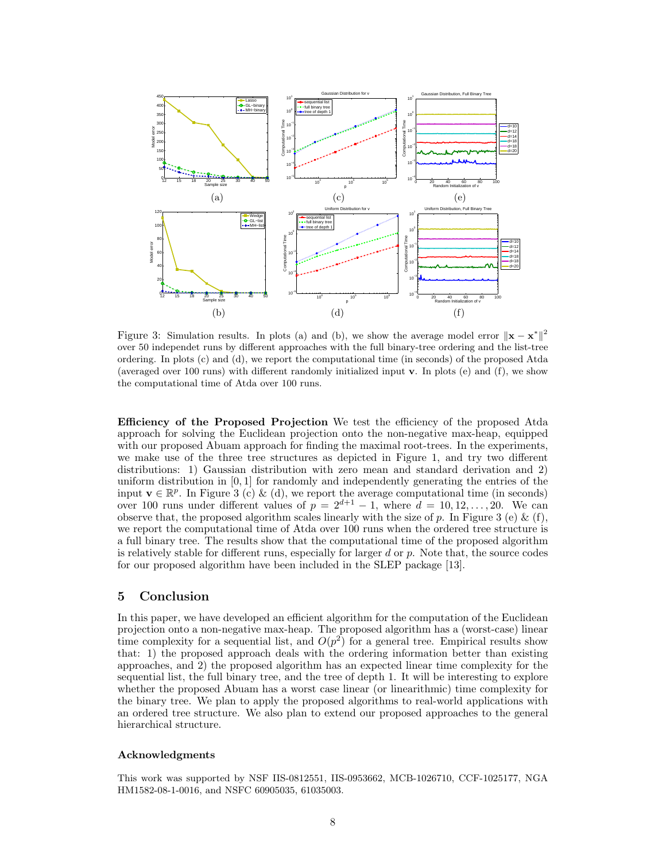

Figure 3: Simulation results. In plots (a) and (b), we show the average model error  $\|\mathbf{x} - \mathbf{x}^*\|^2$ over 50 independet runs by different approaches with the full binary-tree ordering and the list-tree ordering. In plots (c) and (d), we report the computational time (in seconds) of the proposed Atda (averaged over 100 runs) with different randomly initialized input v. In plots (e) and (f), we show the computational time of Atda over 100 runs.

Efficiency of the Proposed Projection We test the efficiency of the proposed Atda approach for solving the Euclidean projection onto the non-negative max-heap, equipped with our proposed Abuam approach for finding the maximal root-trees. In the experiments, we make use of the three tree structures as depicted in Figure 1, and try two different distributions: 1) Gaussian distribution with zero mean and standard derivation and 2) uniform distribution in  $[0, 1]$  for randomly and independently generating the entries of the input  $\mathbf{v} \in \mathbb{R}^p$ . In Figure 3 (c) & (d), we report the average computational time (in seconds) over 100 runs under different values of  $p = 2^{d+1} - 1$ , where  $d = 10, 12, \ldots, 20$ . We can observe that, the proposed algorithm scales linearly with the size of  $p$ . In Figure 3 (e)  $\&$  (f), we report the computational time of Atda over 100 runs when the ordered tree structure is a full binary tree. The results show that the computational time of the proposed algorithm is relatively stable for different runs, especially for larger  $d$  or  $p$ . Note that, the source codes for our proposed algorithm have been included in the SLEP package [13].

## 5 Conclusion

In this paper, we have developed an efficient algorithm for the computation of the Euclidean projection onto a non-negative max-heap. The proposed algorithm has a (worst-case) linear time complexity for a sequential list, and  $O(p^2)$  for a general tree. Empirical results show that: 1) the proposed approach deals with the ordering information better than existing approaches, and 2) the proposed algorithm has an expected linear time complexity for the sequential list, the full binary tree, and the tree of depth 1. It will be interesting to explore whether the proposed Abuam has a worst case linear (or linearithmic) time complexity for the binary tree. We plan to apply the proposed algorithms to real-world applications with an ordered tree structure. We also plan to extend our proposed approaches to the general hierarchical structure.

#### Acknowledgments

This work was supported by NSF IIS-0812551, IIS-0953662, MCB-1026710, CCF-1025177, NGA HM1582-08-1-0016, and NSFC 60905035, 61035003.